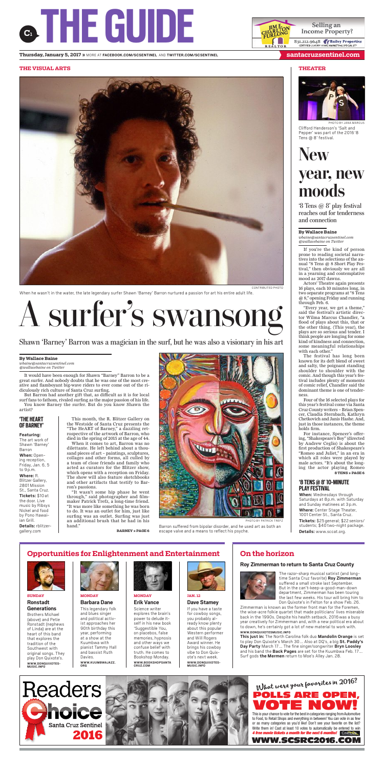



PHOTO BY JANA MARCUS Clifford Henderson's 'Salt and Pepper' was part of the 2016'8 Tens @ 8' festival.





'8 Tens @ 8' play festival reaches out for tenderness and connection

## **By Wallace Baine**

*wbaine@santacruzsentinel.com @wallacebaine on Twitter*

If you're the kind of person prone to reading societal narratives into the selections of the annual "8 Tens @ 8 Short Play Festival," then obviously we are all in a yearning and contemplative mood as 2017 dawns.

Actors' Theatre again presents 16 plays, each 10 minutes long, in two separate programs at "8 Tens @ 8," opening Friday and running through Feb. 6.

"Every year, we get a theme," said the festival's artistic director Wilma Marcus Chandler, "a flood of plays about this, that or the other thing. (This year), the plays are so serious and tender. I think people are longing for some kind of kindness and connection, some meaningful relationships

with each other."<br>The festival has The festival has long been known for its deft blend of sweet and salty, the poignant standing shoulder to shoulder with the comic. And though this year's festival includes plenty of moments of comic relief, Chandler said the dominant theme is one of tenderness.

Four of the 16 selected plays for this year's festival come via Santa Cruz County writers – Brian Spencer, Claudia Sternbach, Kathryn Chetkovich and Janis Hashe. And, just in those instances, the theme holds firm.

For instance, Spencer's offering,"Shakespeare's Boy"(directed by Andrew Ceglio) is about the first production of Shakespeare's "Romeo and Juliet," in an era in which all roles were played by male actors. "It's about the longing the actor playing Romeo **8 TENS » PAGE 6**

## **'8 TENS@8'10-MINUTE PLAY FESTIVAL**

**Details:** www.sccat.org.

**When:** Wednesdays through Saturdays at 8p.m. with Saturday and Sunday matinees at 3p.m. **Where:** Center Stage Theater, 1001Center St., Santa Cruz. **Tickets:** \$25general; \$22seniors/ students; \$40two-night package.